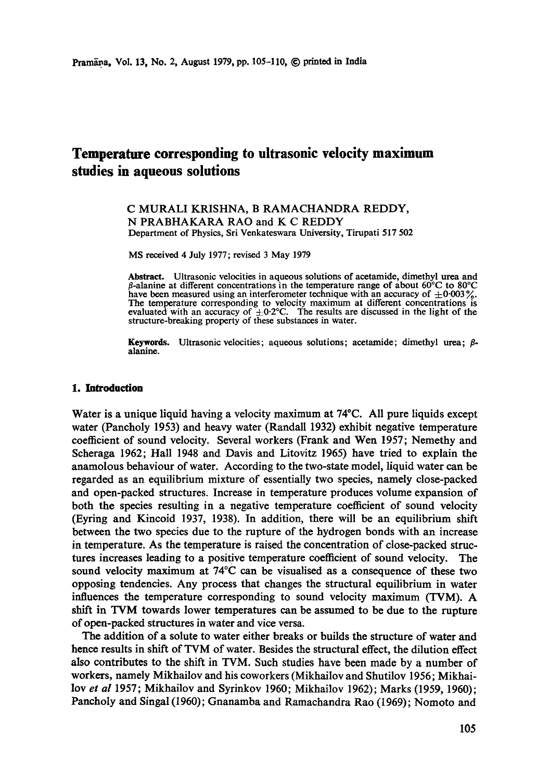# **Temperature corresponding to ultrasonic velocity maximum studies in aqueous solutions**

C MURALI KRISHNA, B RAMACHANDRA REDDY, N PRABHAKARA RAO and K C REDDY Department of Physics, Sri Venkateswara University, Tirupati 517 502

MS received 4 July 1977; revised 3 May 1979

Abstract. Ultrasonic velocities in aqueous solutions of acetamide, dimethyl urea and  $\beta$ -alanine at different concentrations in the temperature range of about 60°C to 80°C have been measured using an interferometer technique with an accuracy of  $\pm 0.003\%$ . The temperature corresponding to velocity maximum at different concentrations is evaluated with an accuracy of  $\pm 0.2$ °C. The results are discussed in the light of the structure-breaking property of these substances in water.

**Keywords.** Ultrasonic velocities; aqueous solutions; acetamide; dimethyl urea;  $\beta$ alanine.

#### **1. Introduction**

Water is a unique liquid having a velocity maximum at 74°C. All pure liquids except water (Pancholy 1953) and heavy water (Randall 1932) exhibit negative temperature coefficient of sound velocity. Several workers (Frank and Wen 1957; Nemethy and Scheraga 1962; Hall 1948 and Davis and Litovitz 1965) have tried to explain the anamolous behaviour of water. According to the two-state model, liquid water can be regarded as an equilibrium mixture of essentially two species, namely close-packed and open-packed structures. Increase in temperature produces volume expansion of both the species resulting in a negative temperature coefficient of sound velocity (Eyring and Kincoid 1937, 1938). In addition, there will be an equilibrium shift between the two species due to the rupture of the hydrogen bonds with an increase in temperature. As the temperature is raised the concentration of close-packed structures increases leading to a positive temperature coefficient of sound velocity. The sound velocity maximum at 74°C can be visualised as a consequence of these two opposing tendencies. Any process that changes the structural equilibrium in water influences the temperature corresponding to sound velocity maximum (TVM). A shift in TVM towards lower temperatures can be assumed to be due to the rupture of open-packed structures in water and vice versa.

**The** addition of a solute to water either breaks or builds the structure of water and hence results in shift of TVM of water. Besides the structural effect, the dilution effect also contributes to the shift in TVM. Such studies have been made by a number of workers, namely Mikhailov and his coworkers (Mikhailov and Shutilov 1956; Mikhailovet *al* 1957; Mikhailov and Syrinkov 1960; Mikhailov 1962); Marks (1959, 1960); Pancholy and Singal (1960); Gnanamba and Ramachandra Rao (1969); Nomoto and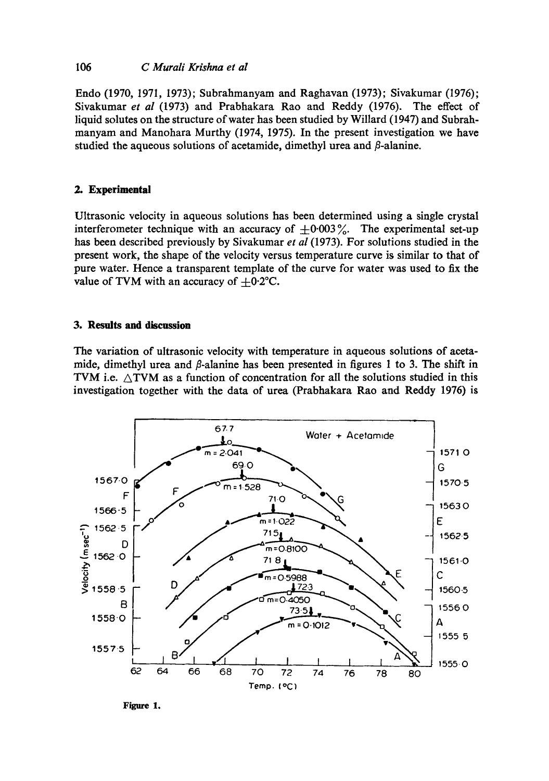## 106 *C Murali Krishna et al*

Endo (1970, 1971, 1973); Subrahmanyam and Raghavan (1973); Sivakumar (1976); Sivakumar *et al* (1973) and Prabhakara Rao and Reddy (1976). The effect of liquid solutes on the structure of water has been studied by Willard (1947) and Subrahmanyam and Manohara Murthy (1974, 1975). In the present investigation we have studied the aqueous solutions of acetamide, dimethyl urea and  $\beta$ -alanine.

## **2. Experimental**

Ultrasonic velocity in aqueous solutions has been determined using a single crystal interferometer technique with an accuracy of  $\pm 0.003\%$ . The experimental set-up has been described previously by Sivakumar *et al* (1973). For solutions studied in the present work, the shape of the velocity versus temperature curve is similar to that of pure water. Hence a transparent template of the curve for water was used to fix the value of TVM with an accuracy of  $+0.2$ °C.

## **3. Results and discussion**

The variation of ultrasonic velocity with temperature in aqueous solutions of acetamide, dimethyl urea and  $\beta$ -alanine has been presented in figures 1 to 3. The shift in TVM i.e.  $\triangle$ TVM as a function of concentration for all the solutions studied in this investigation together with the data of urea (Prabhakara Rao and Reddy 1976) is



**Figure 1.**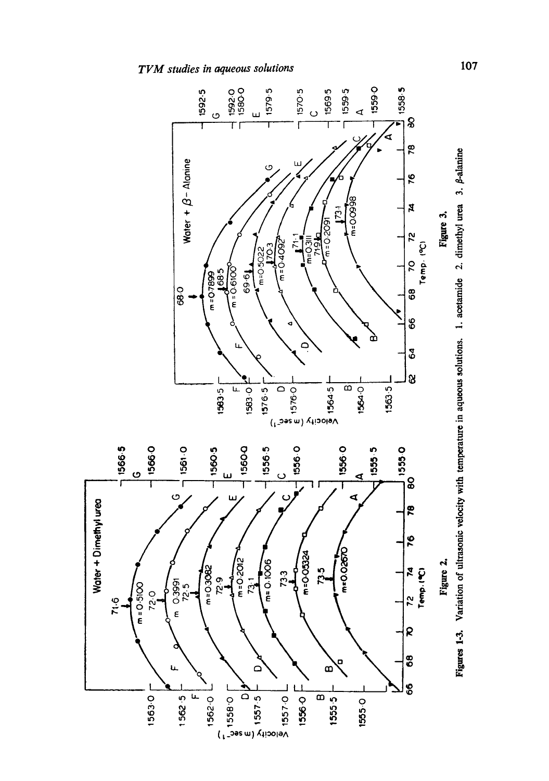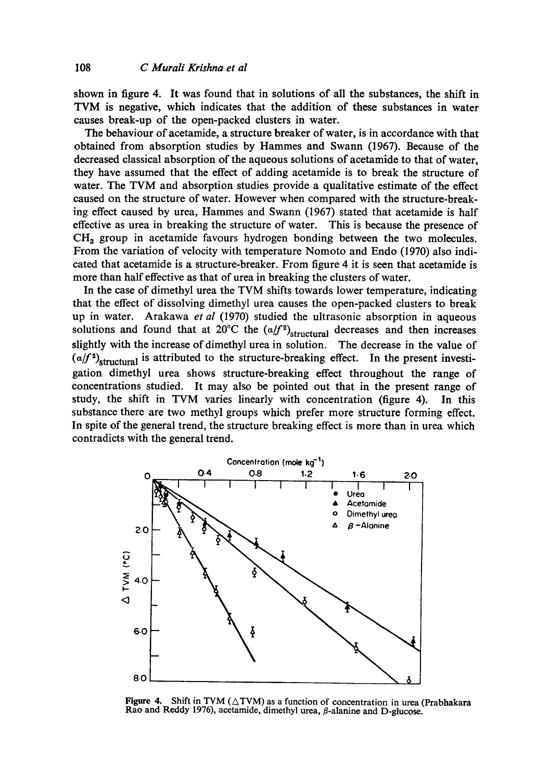shown in figure 4. It was found that in solutions of all the substances, the shift in TVM is negative, which indicates that the addition of these substances in water causes break-up of the open-packed clusters in water.

The behaviour of acetamide, a structure breaker of water, is in accordance with that obtained from absorption studies by Hammes and Swann (1967). Because of the decreased classical absorption of the aqueous solutions of acetamide to that of water, they have assumed that the effect of adding acetamide is to break the structure of water. The TVM and absorption studies provide a qualitative estimate of the effect caused on the structure of water. However when compared with the structure-breaking effect caused by urea, Hammes and Swann (1967) stated that acetamide is half effective as urea in breaking the structure of water. This is because the presence of  $CH<sub>3</sub>$  group in acetamide favours hydrogen bonding between the two molecules. From the variation of velocity with temperature Nomoto and Endo (1970) also indicated that acetamide is a structure-breaker. From figure 4 it is seen that acetamide is more than half effective as that of urea in breaking the clusters of water.

In the case of dimethyl urea the TVM shifts towards lower temperature, indicating that the effect of dissolving dimethyl urea causes the open-packed clusters to break up in water. Arakawa *et al* (1970) studied the ultrasonic absorption in aqueous solutions and found that at 20°C the  $(a/f^2)$ <sub>structural</sub> decreases and then increases slightly with the increase of dimethyl urea in solution. The decrease in the value of  $(a/f<sup>2</sup>)$ <sub>structural</sub> is attributed to the structure-breaking effect. In the present investigation dimethyl urea shows structure-breaking effect throughout the range of concentrations studied. It may also be pointed out that in the present range of study, the shift in TVM varies linearly with concentration (figure 4). In this substance there are two methyl groups which prefer more structure forming effect. In spite of the general trend, the structure breaking effect is more than in urea which contradicts with the general trend.



Figure 4. Shift in TVM ( $\triangle$ TVM) as a function of concentration in urea (Prabhakara Rao and Reddy 1976), acetamide, dimethyl urea,  $\beta$ -alanine and D-glucose.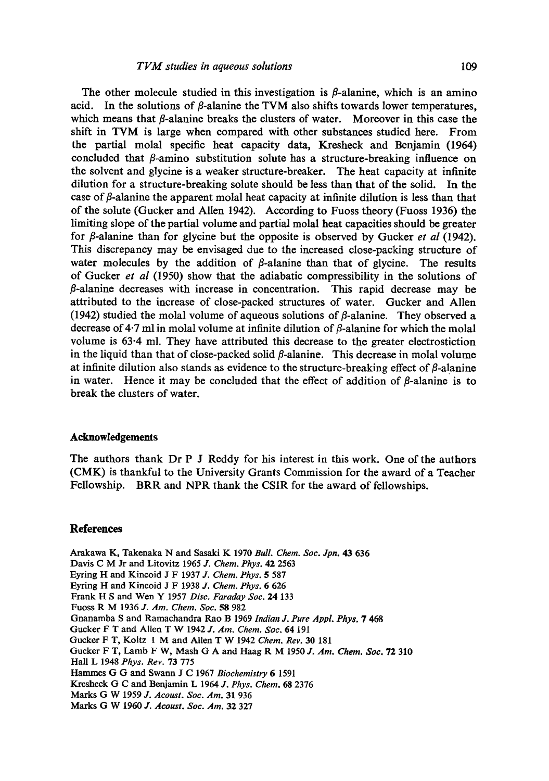The other molecule studied in this investigation is  $\beta$ -alanine, which is an amino acid. In the solutions of  $\beta$ -alanine the TVM also shifts towards lower temperatures, which means that  $\beta$ -alanine breaks the clusters of water. Moreover in this case the shift in TVM is large when compared with other substances studied here. From the partial molal specific heat capacity data, Kresheck and Benjamin (1964) concluded that  $\beta$ -amino substitution solute has a structure-breaking influence on the solvent and glycine is a weaker structure-breaker. The heat capacity at infinite dilution for a structure-breaking solute should be less than that of the solid. In the case of  $\beta$ -alanine the apparent molal heat capacity at infinite dilution is less than that of the solute (Gucker and Alien 1942). According to Fuoss theory (Fuoss 1936) the limiting slope of the partial volume and partial molal heat capacities should be greater for  $\beta$ -alanine than for glycine but the opposite is observed by Gucker *et al* (1942). This discrepancy may be envisaged due to the increased close-packing structure of water molecules by the addition of  $\beta$ -alanine than that of glycine. The results of Gucker *et al* (1950) show that the adiabatic compressibility in the solutions of  $\beta$ -alanine decreases with increase in concentration. This rapid decrease may be attributed to the increase of close-packed structures of water. Gucker and Allen (1942) studied the molal volume of aqueous solutions of  $\beta$ -alanine. They observed a decrease of 4.7 ml in molal volume at infinite dilution of  $\beta$ -alanine for which the molal volume is 63-4 ml. They have attributed this decrease to the greater electrostiction in the liquid than that of close-packed solid  $\beta$ -alanine. This decrease in molal volume at infinite dilution also stands as evidence to the structure-breaking effect of  $\beta$ -alanine in water. Hence it may be concluded that the effect of addition of  $\beta$ -alanine is to break the clusters of water.

#### **Acknowledgements**

The authors thank Dr P J Reddy for his interest in this work. One of the authors (CMK) is thankful to the University Grants Commission for the award of a Teacher Fellowship. BRR and NPR thank the CSIR for the award of fellowships.

#### **References**

Arakawa K, Takenaka N and Sasaki K 1970 *Bull. Chem. Soc. Jpn.* 43 636 Davis C M Jr and Litovitz 1965 *J. Chem. Phys.* 42 2563 Eyring H and Kincoid J F 1937 *J. Chem. Phys.* 5 587 Eyring H and Kineoid J F 1938 *J. Chem. Phys.* 6 626 Frank H S and Wen Y 1957 *Disc. Faraday Soc. 24* 133 Fuoss R M 1936 *J. Am. Chem. Soc.* 58 982 Gnanamba S and Ramachandra Rao B 1969 *Indian J. Pure Appl. Phy3.* 7 468 Gucker F T and Allen T W 1942 *J. Am. Chem. Soc.* 64 191 Gucker F T, Koltz 1 M and Allen T W 1942 *Chem. Rev.* 30 181 Gucker F T, Lamb F W, Mash G A and Haag R M 1950 *J. Am. Chem. Soc.* 72 310 Hall L 1948 *Phys. Rev.* 73 775 Hammes G G and Swarm J C 1967 *Biochemistry* 6 1591 Kresheck G C and Benjamin L 1964 *J. Phys. Chem.* 68 2376 Marks G W 1959 *J. Acoust. Soc. Am.* 31 936 Marks G W 1960 *J. Acoust. Soc. Am.* 32 327